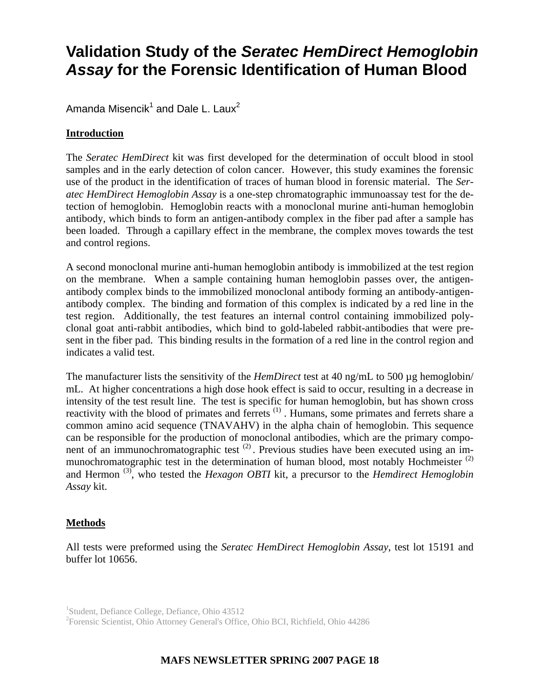# **Validation Study of the** *Seratec HemDirect Hemoglobin Assay* **for the Forensic Identification of Human Blood**

Amanda Misencik<sup>1</sup> and Dale L. Laux<sup>2</sup>

# **Introduction**

The *Seratec HemDirect* kit was first developed for the determination of occult blood in stool samples and in the early detection of colon cancer. However, this study examines the forensic use of the product in the identification of traces of human blood in forensic material. The *Seratec HemDirect Hemoglobin Assay* is a one-step chromatographic immunoassay test for the detection of hemoglobin. Hemoglobin reacts with a monoclonal murine anti-human hemoglobin antibody, which binds to form an antigen-antibody complex in the fiber pad after a sample has been loaded. Through a capillary effect in the membrane, the complex moves towards the test and control regions.

A second monoclonal murine anti-human hemoglobin antibody is immobilized at the test region on the membrane. When a sample containing human hemoglobin passes over, the antigenantibody complex binds to the immobilized monoclonal antibody forming an antibody-antigenantibody complex. The binding and formation of this complex is indicated by a red line in the test region. Additionally, the test features an internal control containing immobilized polyclonal goat anti-rabbit antibodies, which bind to gold-labeled rabbit-antibodies that were present in the fiber pad. This binding results in the formation of a red line in the control region and indicates a valid test.

The manufacturer lists the sensitivity of the *HemDirect* test at 40 ng/mL to 500 µg hemoglobin/ mL. At higher concentrations a high dose hook effect is said to occur, resulting in a decrease in intensity of the test result line. The test is specific for human hemoglobin, but has shown cross reactivity with the blood of primates and ferrets (1). Humans, some primates and ferrets share a common amino acid sequence (TNAVAHV) in the alpha chain of hemoglobin. This sequence can be responsible for the production of monoclonal antibodies, which are the primary component of an immunochromatographic test<sup>(2)</sup>. Previous studies have been executed using an immunochromatographic test in the determination of human blood, most notably Hochmeister (2) and Hermon (3), who tested the *Hexagon OBTI* kit, a precursor to the *Hemdirect Hemoglobin Assay* kit.

# **Methods**

All tests were preformed using the *Seratec HemDirect Hemoglobin Assay*, test lot 15191 and buffer lot 10656.

2 Forensic Scientist, Ohio Attorney General's Office, Ohio BCI, Richfield, Ohio 44286

# **MAFS NEWSLETTER SPRING 2007 PAGE 18**

<sup>&</sup>lt;sup>1</sup>Student, Defiance College, Defiance, Ohio 43512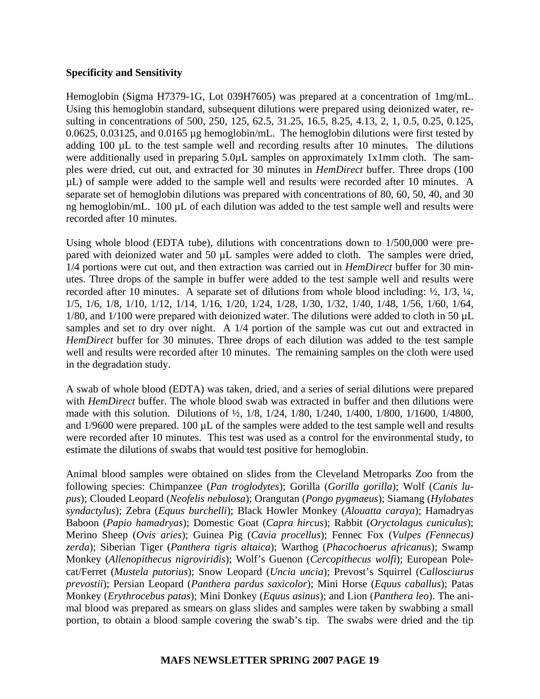### **Specificity and Sensitivity**

Hemoglobin (Sigma H7379-1G, Lot 039H7605) was prepared at a concentration of 1mg/mL. Using this hemoglobin standard, subsequent dilutions were prepared using deionized water, resulting in concentrations of 500, 250, 125, 62.5, 31.25, 16.5, 8.25, 4.13, 2, 1, 0.5, 0.25, 0.125, 0.0625, 0.03125, and 0.0165 µg hemoglobin/mL. The hemoglobin dilutions were first tested by adding 100 µL to the test sample well and recording results after 10 minutes. The dilutions were additionally used in preparing 5.0 $\mu$ L samples on approximately 1x1mm cloth. The samples were dried, cut out, and extracted for 30 minutes in *HemDirect* buffer. Three drops (100 µL) of sample were added to the sample well and results were recorded after 10 minutes. A separate set of hemoglobin dilutions was prepared with concentrations of 80, 60, 50, 40, and 30 ng hemoglobin/mL. 100  $\mu$ L of each dilution was added to the test sample well and results were recorded after 10 minutes.

Using whole blood (EDTA tube), dilutions with concentrations down to 1/500,000 were prepared with deionized water and 50 µL samples were added to cloth. The samples were dried, 1/4 portions were cut out, and then extraction was carried out in *HemDirect* buffer for 30 minutes. Three drops of the sample in buffer were added to the test sample well and results were recorded after 10 minutes. A separate set of dilutions from whole blood including: ½, 1/3, ¼, 1/5, 1/6, 1/8, 1/10, 1/12, 1/14, 1/16, 1/20, 1/24, 1/28, 1/30, 1/32, 1/40, 1/48, 1/56, 1/60, 1/64, 1/80, and 1/100 were prepared with deionized water. The dilutions were added to cloth in 50 µL samples and set to dry over night. A 1/4 portion of the sample was cut out and extracted in *HemDirect* buffer for 30 minutes. Three drops of each dilution was added to the test sample well and results were recorded after 10 minutes. The remaining samples on the cloth were used in the degradation study.

A swab of whole blood (EDTA) was taken, dried, and a series of serial dilutions were prepared with *HemDirect* buffer. The whole blood swab was extracted in buffer and then dilutions were made with this solution. Dilutions of ½, 1/8, 1/24, 1/80, 1/240, 1/400, 1/800, 1/1600, 1/4800, and 1/9600 were prepared. 100 µL of the samples were added to the test sample well and results were recorded after 10 minutes. This test was used as a control for the environmental study, to estimate the dilutions of swabs that would test positive for hemoglobin.

Animal blood samples were obtained on slides from the Cleveland Metroparks Zoo from the following species: Chimpanzee (*Pan troglodytes*); Gorilla (*Gorilla gorilla*); Wolf (*Canis lupus*); Clouded Leopard (*Neofelis nebulosa*); Orangutan (*Pongo pygmaeus*); Siamang (*Hylobates syndactylus*); Zebra (*Equus burchelli*); Black Howler Monkey (*Alouatta caraya*); Hamadryas Baboon (*Papio hamadryas*); Domestic Goat (*Capra hircus*); Rabbit (*Oryctolagus cuniculus*); Merino Sheep (*Ovis aries*); Guinea Pig (*Cavia procellus*); Fennec Fox (*Vulpes (Fennecus) zerda*); Siberian Tiger (*Panthera tigris altaica*); Warthog (*Phacochoerus africanus*); Swamp Monkey (*Allenopithecus nigroviridis*); Wolf's Guenon (*Cercopithecus wolfi*); European Polecat/Ferret (*Mustela putorius*); Snow Leopard (*Uncia uncia*); Prevost's Squirrel (*Callosciurus prevostii*); Persian Leopard (*Panthera pardus saxicolor*); Mini Horse (*Equus caballus*); Patas Monkey (*Erythrocebus patas*); Mini Donkey (*Equus asinus*); and Lion (*Panthera leo*). The animal blood was prepared as smears on glass slides and samples were taken by swabbing a small portion, to obtain a blood sample covering the swab's tip. The swabs were dried and the tip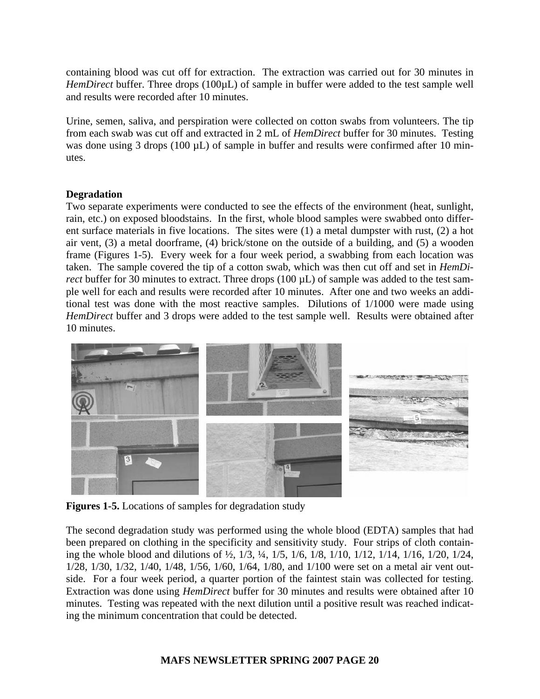containing blood was cut off for extraction. The extraction was carried out for 30 minutes in *HemDirect* buffer. Three drops (100 $\mu$ L) of sample in buffer were added to the test sample well and results were recorded after 10 minutes.

Urine, semen, saliva, and perspiration were collected on cotton swabs from volunteers. The tip from each swab was cut off and extracted in 2 mL of *HemDirect* buffer for 30 minutes. Testing was done using 3 drops (100  $\mu$ L) of sample in buffer and results were confirmed after 10 minutes.

#### **Degradation**

Two separate experiments were conducted to see the effects of the environment (heat, sunlight, rain, etc.) on exposed bloodstains. In the first, whole blood samples were swabbed onto different surface materials in five locations. The sites were (1) a metal dumpster with rust, (2) a hot air vent, (3) a metal doorframe, (4) brick/stone on the outside of a building, and (5) a wooden frame (Figures 1-5). Every week for a four week period, a swabbing from each location was taken. The sample covered the tip of a cotton swab, which was then cut off and set in *HemDirect* buffer for 30 minutes to extract. Three drops (100  $\mu$ L) of sample was added to the test sample well for each and results were recorded after 10 minutes. After one and two weeks an additional test was done with the most reactive samples. Dilutions of 1/1000 were made using *HemDirect* buffer and 3 drops were added to the test sample well. Results were obtained after 10 minutes.



**Figures 1-5.** Locations of samples for degradation study

The second degradation study was performed using the whole blood (EDTA) samples that had been prepared on clothing in the specificity and sensitivity study. Four strips of cloth containing the whole blood and dilutions of ½, 1/3, ¼, 1/5, 1/6, 1/8, 1/10, 1/12, 1/14, 1/16, 1/20, 1/24, 1/28, 1/30, 1/32, 1/40, 1/48, 1/56, 1/60, 1/64, 1/80, and 1/100 were set on a metal air vent outside. For a four week period, a quarter portion of the faintest stain was collected for testing. Extraction was done using *HemDirect* buffer for 30 minutes and results were obtained after 10 minutes. Testing was repeated with the next dilution until a positive result was reached indicating the minimum concentration that could be detected.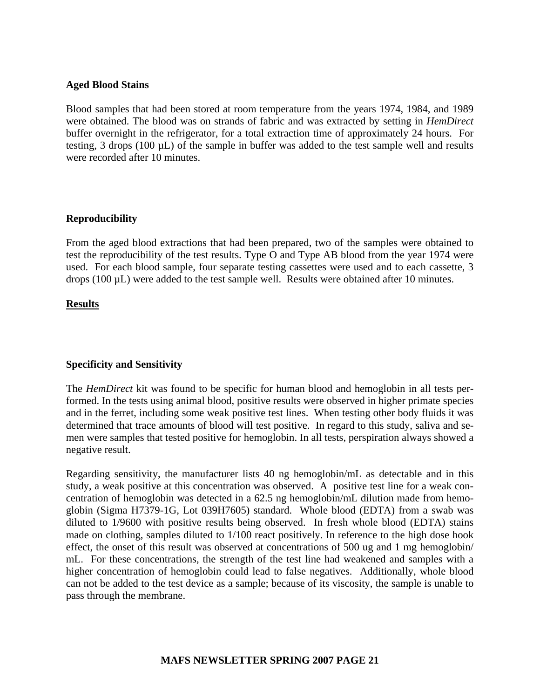#### **Aged Blood Stains**

Blood samples that had been stored at room temperature from the years 1974, 1984, and 1989 were obtained. The blood was on strands of fabric and was extracted by setting in *HemDirect*  buffer overnight in the refrigerator, for a total extraction time of approximately 24 hours. For testing, 3 drops (100 µL) of the sample in buffer was added to the test sample well and results were recorded after 10 minutes.

#### **Reproducibility**

From the aged blood extractions that had been prepared, two of the samples were obtained to test the reproducibility of the test results. Type O and Type AB blood from the year 1974 were used. For each blood sample, four separate testing cassettes were used and to each cassette, 3 drops (100  $\mu$ L) were added to the test sample well. Results were obtained after 10 minutes.

#### **Results**

#### **Specificity and Sensitivity**

The *HemDirect* kit was found to be specific for human blood and hemoglobin in all tests performed. In the tests using animal blood, positive results were observed in higher primate species and in the ferret, including some weak positive test lines. When testing other body fluids it was determined that trace amounts of blood will test positive. In regard to this study, saliva and semen were samples that tested positive for hemoglobin. In all tests, perspiration always showed a negative result.

Regarding sensitivity, the manufacturer lists 40 ng hemoglobin/mL as detectable and in this study, a weak positive at this concentration was observed. A positive test line for a weak concentration of hemoglobin was detected in a 62.5 ng hemoglobin/mL dilution made from hemoglobin (Sigma H7379-1G, Lot 039H7605) standard. Whole blood (EDTA) from a swab was diluted to 1/9600 with positive results being observed. In fresh whole blood (EDTA) stains made on clothing, samples diluted to 1/100 react positively. In reference to the high dose hook effect, the onset of this result was observed at concentrations of 500 ug and 1 mg hemoglobin/ mL. For these concentrations, the strength of the test line had weakened and samples with a higher concentration of hemoglobin could lead to false negatives. Additionally, whole blood can not be added to the test device as a sample; because of its viscosity, the sample is unable to pass through the membrane.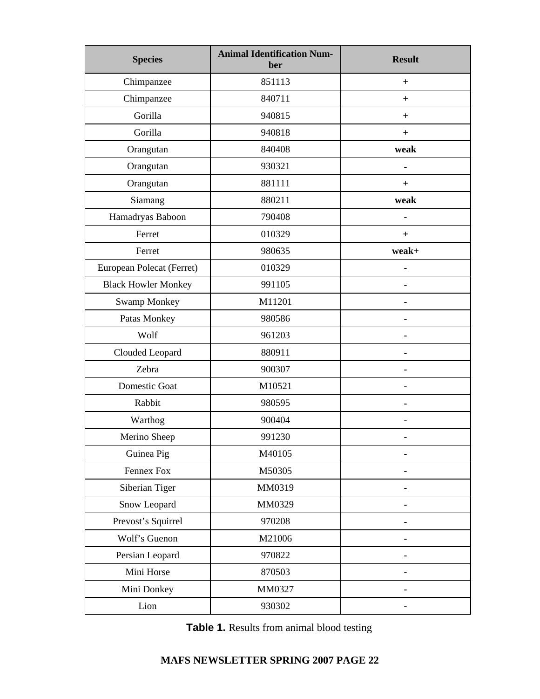| <b>Species</b>             | <b>Animal Identification Num-</b><br>ber | <b>Result</b> |
|----------------------------|------------------------------------------|---------------|
| Chimpanzee                 | 851113                                   | $^{+}$        |
| Chimpanzee                 | 840711                                   | $^{+}$        |
| Gorilla                    | 940815                                   | $\ddot{}$     |
| Gorilla                    | 940818                                   | $^{+}$        |
| Orangutan                  | 840408                                   | weak          |
| Orangutan                  | 930321                                   |               |
| Orangutan                  | 881111                                   | $\pm$         |
| Siamang                    | 880211                                   | weak          |
| Hamadryas Baboon           | 790408                                   |               |
| Ferret                     | 010329                                   | $+$           |
| Ferret                     | 980635                                   | weak+         |
| European Polecat (Ferret)  | 010329                                   | ä,            |
| <b>Black Howler Monkey</b> | 991105                                   |               |
| <b>Swamp Monkey</b>        | M11201                                   |               |
| Patas Monkey               | 980586                                   |               |
| Wolf                       | 961203                                   |               |
| Clouded Leopard            | 880911                                   |               |
| Zebra                      | 900307                                   |               |
| Domestic Goat              | M10521                                   |               |
| Rabbit                     | 980595                                   |               |
| Warthog                    | 900404                                   |               |
| Merino Sheep               | 991230                                   |               |
| Guinea Pig                 | M40105                                   |               |
| Fennex Fox                 | M50305                                   |               |
| Siberian Tiger             | MM0319                                   |               |
| Snow Leopard               | MM0329                                   |               |
| Prevost's Squirrel         | 970208                                   |               |
| Wolf's Guenon              | M21006                                   |               |
| Persian Leopard            | 970822                                   |               |
| Mini Horse                 | 870503                                   |               |
| Mini Donkey                | MM0327                                   |               |
| Lion                       | 930302                                   |               |

 **Table 1.** Results from animal blood testing

# **MAFS NEWSLETTER SPRING 2007 PAGE 22**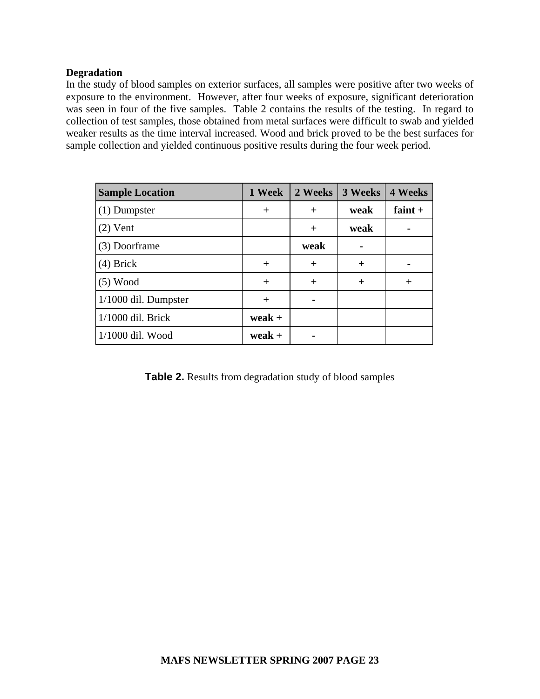#### **Degradation**

In the study of blood samples on exterior surfaces, all samples were positive after two weeks of exposure to the environment. However, after four weeks of exposure, significant deterioration was seen in four of the five samples. Table 2 contains the results of the testing. In regard to collection of test samples, those obtained from metal surfaces were difficult to swab and yielded weaker results as the time interval increased. Wood and brick proved to be the best surfaces for sample collection and yielded continuous positive results during the four week period.

| <b>Sample Location</b> | 1 Week   | 2 Weeks | 3 Weeks | <b>4 Weeks</b> |
|------------------------|----------|---------|---------|----------------|
| $(1)$ Dumpster         | $^{+}$   | $^{+}$  | weak    | faint $+$      |
| $(2)$ Vent             |          | $^{+}$  | weak    |                |
| (3) Doorframe          |          | weak    |         |                |
| $(4)$ Brick            | $^{+}$   | $+$     | $^{+}$  |                |
| $(5)$ Wood             | $+$      | $^{+}$  | $^{+}$  | $\overline{+}$ |
| 1/1000 dil. Dumpster   | $^{+}$   |         |         |                |
| $1/1000$ dil. Brick    | $weak +$ |         |         |                |
| 1/1000 dil. Wood       | weak +   |         |         |                |

**Table 2.** Results from degradation study of blood samples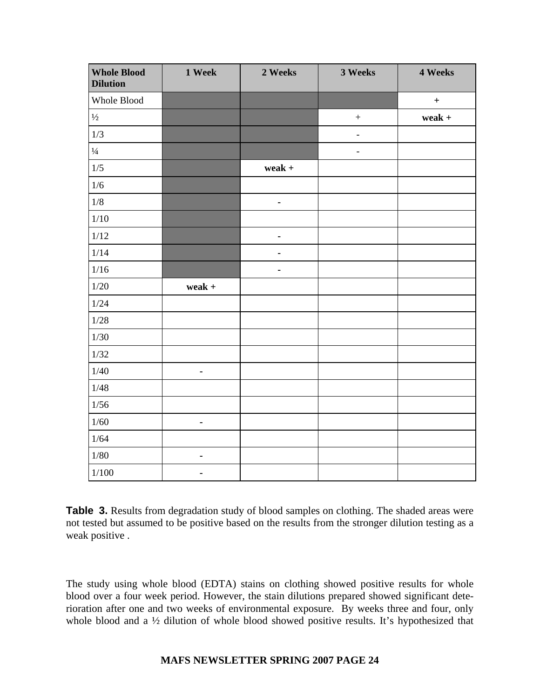| <b>Whole Blood</b><br><b>Dilution</b> | 1 Week         | 2 Weeks        | 3 Weeks           | 4 Weeks          |
|---------------------------------------|----------------|----------------|-------------------|------------------|
| Whole Blood                           |                |                |                   | $\boldsymbol{+}$ |
| $1/2$                                 |                |                | $\qquad \qquad +$ | weak $+$         |
| 1/3                                   |                |                | $\Box$            |                  |
| $\frac{1}{4}$                         |                |                | $\blacksquare$    |                  |
| $1/5$                                 |                | weak $+$       |                   |                  |
| $1/6$                                 |                |                |                   |                  |
| $1/8\,$                               |                | $\blacksquare$ |                   |                  |
| $1/10$                                |                |                |                   |                  |
| $1/12$                                |                | $\blacksquare$ |                   |                  |
| 1/14                                  |                | $\blacksquare$ |                   |                  |
| $1/16$                                |                | $\blacksquare$ |                   |                  |
| $1/20$                                | weak $+$       |                |                   |                  |
| 1/24                                  |                |                |                   |                  |
| $1/28$                                |                |                |                   |                  |
| 1/30                                  |                |                |                   |                  |
| $1/32$                                |                |                |                   |                  |
| 1/40                                  | $\blacksquare$ |                |                   |                  |
| 1/48                                  |                |                |                   |                  |
| 1/56                                  |                |                |                   |                  |
| $1/60$                                | $\blacksquare$ |                |                   |                  |
| 1/64                                  |                |                |                   |                  |
| $1/80$                                | $\blacksquare$ |                |                   |                  |
| 1/100                                 | ٠              |                |                   |                  |

**Table 3.** Results from degradation study of blood samples on clothing. The shaded areas were not tested but assumed to be positive based on the results from the stronger dilution testing as a weak positive .

The study using whole blood (EDTA) stains on clothing showed positive results for whole blood over a four week period. However, the stain dilutions prepared showed significant deterioration after one and two weeks of environmental exposure. By weeks three and four, only whole blood and a <sup>1/2</sup> dilution of whole blood showed positive results. It's hypothesized that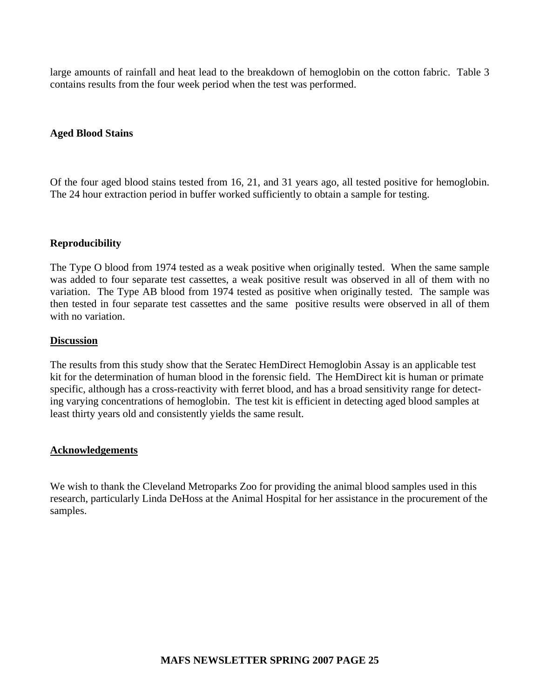large amounts of rainfall and heat lead to the breakdown of hemoglobin on the cotton fabric. Table 3 contains results from the four week period when the test was performed.

#### **Aged Blood Stains**

Of the four aged blood stains tested from 16, 21, and 31 years ago, all tested positive for hemoglobin. The 24 hour extraction period in buffer worked sufficiently to obtain a sample for testing.

#### **Reproducibility**

The Type O blood from 1974 tested as a weak positive when originally tested. When the same sample was added to four separate test cassettes, a weak positive result was observed in all of them with no variation. The Type AB blood from 1974 tested as positive when originally tested. The sample was then tested in four separate test cassettes and the same positive results were observed in all of them with no variation.

#### **Discussion**

The results from this study show that the Seratec HemDirect Hemoglobin Assay is an applicable test kit for the determination of human blood in the forensic field. The HemDirect kit is human or primate specific, although has a cross-reactivity with ferret blood, and has a broad sensitivity range for detecting varying concentrations of hemoglobin. The test kit is efficient in detecting aged blood samples at least thirty years old and consistently yields the same result.

#### **Acknowledgements**

We wish to thank the Cleveland Metroparks Zoo for providing the animal blood samples used in this research, particularly Linda DeHoss at the Animal Hospital for her assistance in the procurement of the samples.